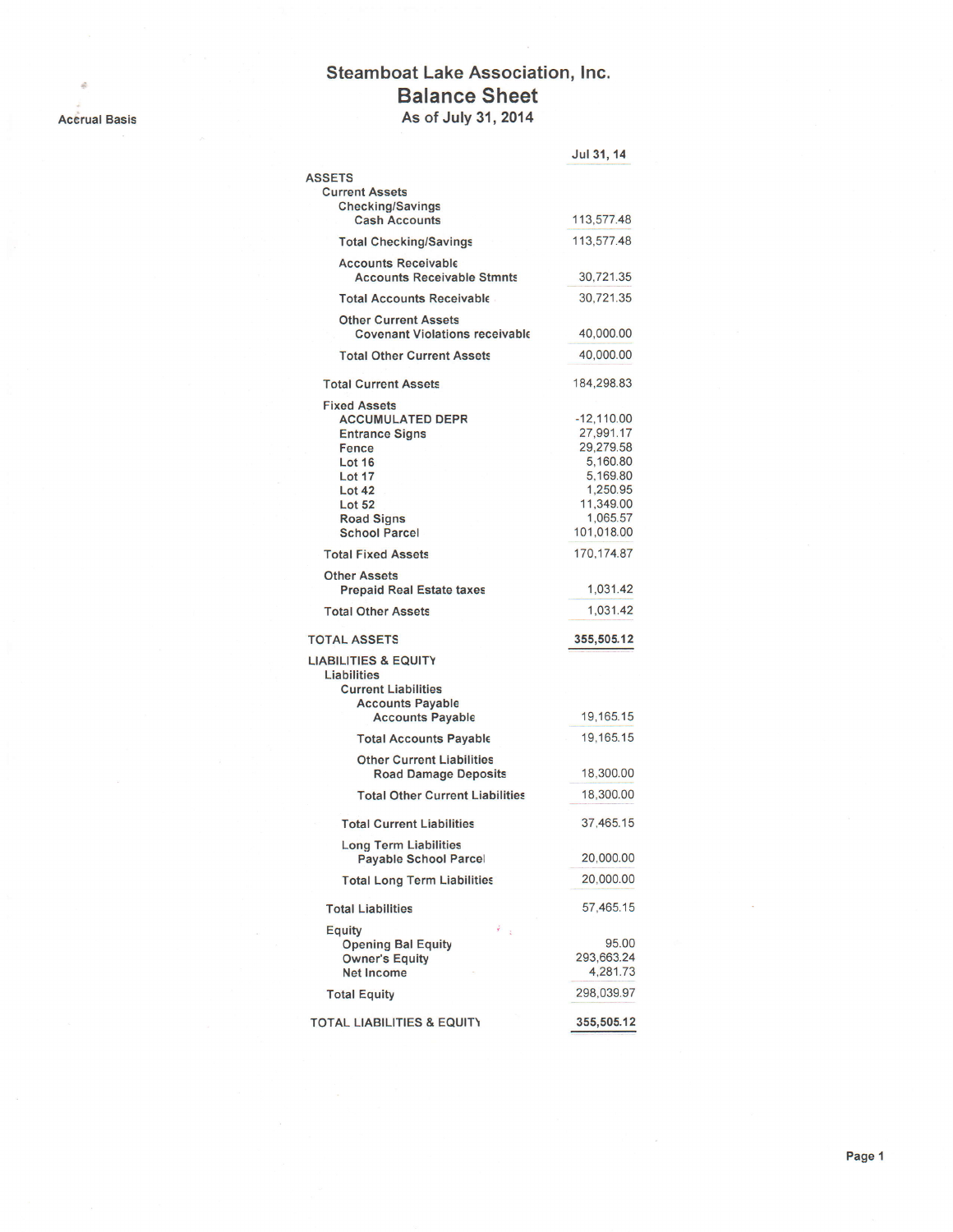## . Accrual Basis

à.

## Steamboat Lake Association, lnc. Balance Sheet As of July 31,2014

|                                                                                                                                                                                            | Jul 31, 14                                                                                                        |
|--------------------------------------------------------------------------------------------------------------------------------------------------------------------------------------------|-------------------------------------------------------------------------------------------------------------------|
| <b>ASSETS</b>                                                                                                                                                                              |                                                                                                                   |
| <b>Current Assets</b>                                                                                                                                                                      |                                                                                                                   |
| <b>Checking/Savings</b><br><b>Cash Accounts</b>                                                                                                                                            | 113,577.48                                                                                                        |
| <b>Total Checking/Savings</b>                                                                                                                                                              | 113,577.48                                                                                                        |
| <b>Accounts Receivable</b><br><b>Accounts Receivable Stmnts</b>                                                                                                                            | 30,721.35                                                                                                         |
| <b>Total Accounts Receivable</b>                                                                                                                                                           | 30,721.35                                                                                                         |
| <b>Other Current Assets</b><br><b>Covenant Violations receivable</b>                                                                                                                       | 40,000.00                                                                                                         |
| <b>Total Other Current Assets</b>                                                                                                                                                          | 40,000.00                                                                                                         |
| <b>Total Current Assets</b>                                                                                                                                                                | 184,298.83                                                                                                        |
| <b>Fixed Assets</b><br><b>ACCUMULATED DEPR</b><br><b>Entrance Signs</b><br>Fence<br><b>Lot 16</b><br>Lot 17<br><b>Lot 42</b><br><b>Lot 52</b><br><b>Road Signs</b><br><b>School Parcel</b> | $-12,110.00$<br>27,991.17<br>29,279.58<br>5.160.80<br>5,169.80<br>1,250.95<br>11,349.00<br>1.065.57<br>101,018.00 |
| <b>Total Fixed Assets</b>                                                                                                                                                                  | 170, 174.87                                                                                                       |
| <b>Other Assets</b><br><b>Prepaid Real Estate taxes</b><br><b>Total Other Assets</b>                                                                                                       | 1,031.42<br>1,031.42                                                                                              |
|                                                                                                                                                                                            |                                                                                                                   |
| <b>TOTAL ASSETS</b>                                                                                                                                                                        | 355,505.12                                                                                                        |
| <b>LIABILITIES &amp; EQUITY</b><br>Liabilities<br><b>Current Liabilities</b><br><b>Accounts Payable</b><br><b>Accounts Payable</b>                                                         | 19, 165. 15                                                                                                       |
| <b>Total Accounts Payable</b>                                                                                                                                                              | 19, 165. 15                                                                                                       |
| <b>Other Current Liabilities</b><br><b>Road Damage Deposits</b>                                                                                                                            | 18,300.00                                                                                                         |
| <b>Total Other Current Liabilities</b>                                                                                                                                                     | 18,300.00                                                                                                         |
| <b>Total Current Liabilities</b>                                                                                                                                                           | 37,465.15                                                                                                         |
| <b>Long Term Liabilities</b><br>Payable School Parcel                                                                                                                                      | 20,000.00                                                                                                         |
| <b>Total Long Term Liabilities</b>                                                                                                                                                         | 20,000.00                                                                                                         |
| <b>Total Liabilities</b>                                                                                                                                                                   | 57,465.15                                                                                                         |
| ž,<br><b>Equity</b>                                                                                                                                                                        |                                                                                                                   |
| <b>Opening Bal Equity</b>                                                                                                                                                                  | 95.00                                                                                                             |
| <b>Owner's Equity</b><br><b>Net Income</b>                                                                                                                                                 | 293,663.24<br>4,281.73                                                                                            |
| <b>Total Equity</b>                                                                                                                                                                        | 298,039.97                                                                                                        |
| <b>TOTAL LIABILITIES &amp; EQUITY</b>                                                                                                                                                      | 355,505.12                                                                                                        |
|                                                                                                                                                                                            |                                                                                                                   |